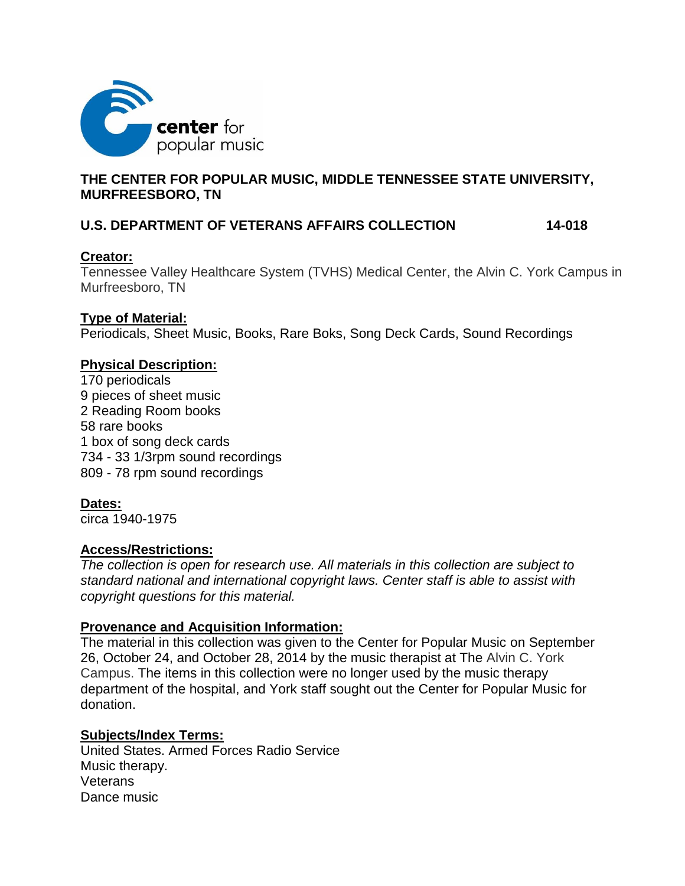

# **THE CENTER FOR POPULAR MUSIC, MIDDLE TENNESSEE STATE UNIVERSITY, MURFREESBORO, TN**

# **U.S. DEPARTMENT OF VETERANS AFFAIRS COLLECTION 14-018**

## **Creator:**

Tennessee Valley Healthcare System (TVHS) Medical Center, the Alvin C. York Campus in Murfreesboro, TN

## **Type of Material:**

Periodicals, Sheet Music, Books, Rare Boks, Song Deck Cards, Sound Recordings

# **Physical Description:**

170 periodicals 9 pieces of sheet music 2 Reading Room books 58 rare books 1 box of song deck cards 734 - 33 1/3rpm sound recordings 809 - 78 rpm sound recordings

## **Dates:**

circa 1940-1975

## **Access/Restrictions:**

*The collection is open for research use. All materials in this collection are subject to standard national and international copyright laws. Center staff is able to assist with copyright questions for this material.*

## **Provenance and Acquisition Information:**

The material in this collection was given to the Center for Popular Music on September 26, October 24, and October 28, 2014 by the music therapist at The Alvin C. York Campus. The items in this collection were no longer used by the music therapy department of the hospital, and York staff sought out the Center for Popular Music for donation.

## **Subjects/Index Terms:**

United States. Armed Forces Radio Service Music therapy. **Veterans** Dance music